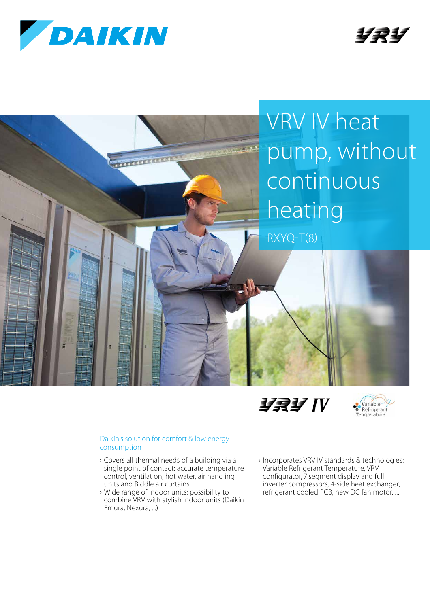









## Daikin's solution for comfort & low energy consumption

- › Covers all thermal needs of a building via a single point of contact: accurate temperature control, ventilation, hot water, air handling units and Biddle air curtains
- › Wide range of indoor units: possibility to combine VRV with stylish indoor units (Daikin Emura, Nexura, ...)
- › Incorporates VRV IV standards & technologies: Variable Refrigerant Temperature, VRV configurator, 7 segment display and full inverter compressors, 4-side heat exchanger, refrigerant cooled PCB, new DC fan motor, ...